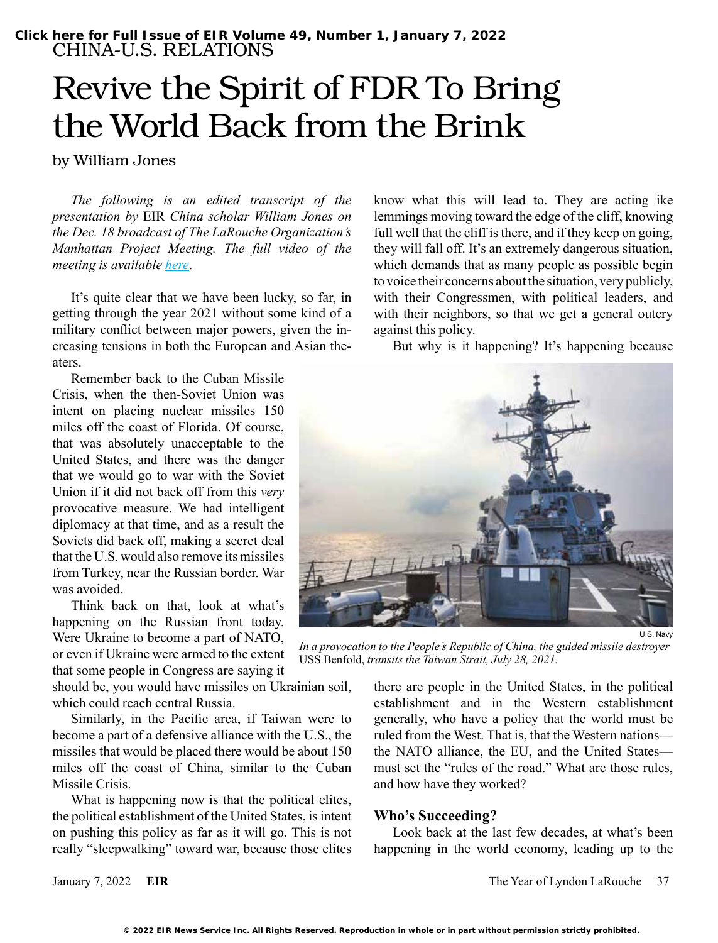# Revive the Spirit of FDR To Bring the World Back from the Brink

by William Jones

*The following is an edited transcript of the presentation by* EIR *China scholar William Jones on the Dec. 18 broadcast of The LaRouche Organization's Manhattan Project Meeting. The full video of the meeting is available [here](https://www.youtube.com/watch?v=VWeizRIM_x8)*.

It's quite clear that we have been lucky, so far, in getting through the year 2021 without some kind of a military conflict between major powers, given the increasing tensions in both the European and Asian theaters.

Remember back to the Cuban Missile Crisis, when the then-Soviet Union was intent on placing nuclear missiles 150 miles off the coast of Florida. Of course, that was absolutely unacceptable to the United States, and there was the danger that we would go to war with the Soviet Union if it did not back off from this *very*  provocative measure. We had intelligent diplomacy at that time, and as a result the Soviets did back off, making a secret deal that the U.S. would also remove its missiles from Turkey, near the Russian border. War was avoided.

Think back on that, look at what's happening on the Russian front today. Were Ukraine to become a part of NATO, or even if Ukraine were armed to the extent that some people in Congress are saying it

should be, you would have missiles on Ukrainian soil, which could reach central Russia.

Similarly, in the Pacific area, if Taiwan were to become a part of a defensive alliance with the U.S., the missiles that would be placed there would be about 150 miles off the coast of China, similar to the Cuban Missile Crisis.

What is happening now is that the political elites, the political establishment of the United States, is intent on pushing this policy as far as it will go. This is not really "sleepwalking" toward war, because those elites know what this will lead to. They are acting ike lemmings moving toward the edge of the cliff, knowing full well that the cliff is there, and if they keep on going, they will fall off. It's an extremely dangerous situation, which demands that as many people as possible begin to voice their concerns about the situation, very publicly, with their Congressmen, with political leaders, and with their neighbors, so that we get a general outcry against this policy.

But why is it happening? It's happening because



*In a provocation to the People's Republic of China, the guided missile destroyer*  USS Benfold, *transits the Taiwan Strait, July 28, 2021.* 

there are people in the United States, in the political establishment and in the Western establishment generally, who have a policy that the world must be ruled from the West. That is, that the Western nations the NATO alliance, the EU, and the United States must set the "rules of the road." What are those rules, and how have they worked?

#### **Who's Succeeding?**

Look back at the last few decades, at what's been happening in the world economy, leading up to the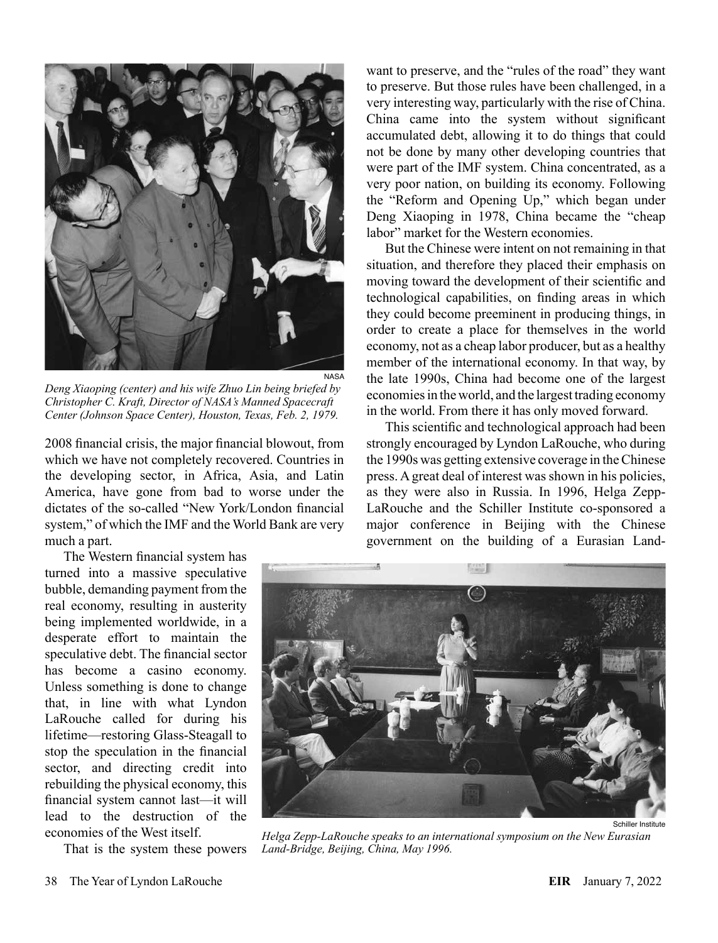

*Deng Xiaoping (center) and his wife Zhuo Lin being briefed by Christopher C. Kraft, Director of NASA's Manned Spacecraft Center (Johnson Space Center), Houston, Texas, Feb. 2, 1979.*

2008 financial crisis, the major financial blowout, from which we have not completely recovered. Countries in the developing sector, in Africa, Asia, and Latin America, have gone from bad to worse under the dictates of the so-called "New York/London financial system," of which the IMF and the World Bank are very much a part.

The Western financial system has turned into a massive speculative bubble, demanding payment from the real economy, resulting in austerity being implemented worldwide, in a desperate effort to maintain the speculative debt. The financial sector has become a casino economy. Unless something is done to change that, in line with what Lyndon LaRouche called for during his lifetime—restoring Glass-Steagall to stop the speculation in the financial sector, and directing credit into rebuilding the physical economy, this financial system cannot last—it will lead to the destruction of the economies of the West itself.

That is the system these powers

want to preserve, and the "rules of the road" they want to preserve. But those rules have been challenged, in a very interesting way, particularly with the rise of China. China came into the system without significant accumulated debt, allowing it to do things that could not be done by many other developing countries that were part of the IMF system. China concentrated, as a very poor nation, on building its economy. Following the "Reform and Opening Up," which began under Deng Xiaoping in 1978, China became the "cheap labor" market for the Western economies.

But the Chinese were intent on not remaining in that situation, and therefore they placed their emphasis on moving toward the development of their scientific and technological capabilities, on finding areas in which they could become preeminent in producing things, in order to create a place for themselves in the world economy, not as a cheap labor producer, but as a healthy member of the international economy. In that way, by the late 1990s, China had become one of the largest economies in the world, and the largest trading economy in the world. From there it has only moved forward.

This scientific and technological approach had been strongly encouraged by Lyndon LaRouche, who during the 1990s was getting extensive coverage in the Chinese press. A great deal of interest was shown in his policies, as they were also in Russia. In 1996, Helga Zepp-LaRouche and the Schiller Institute co-sponsored a major conference in Beijing with the Chinese government on the building of a Eurasian Land-



*Helga Zepp-LaRouche speaks to an international symposium on the New Eurasian Land-Bridge, Beijing, China, May 1996.*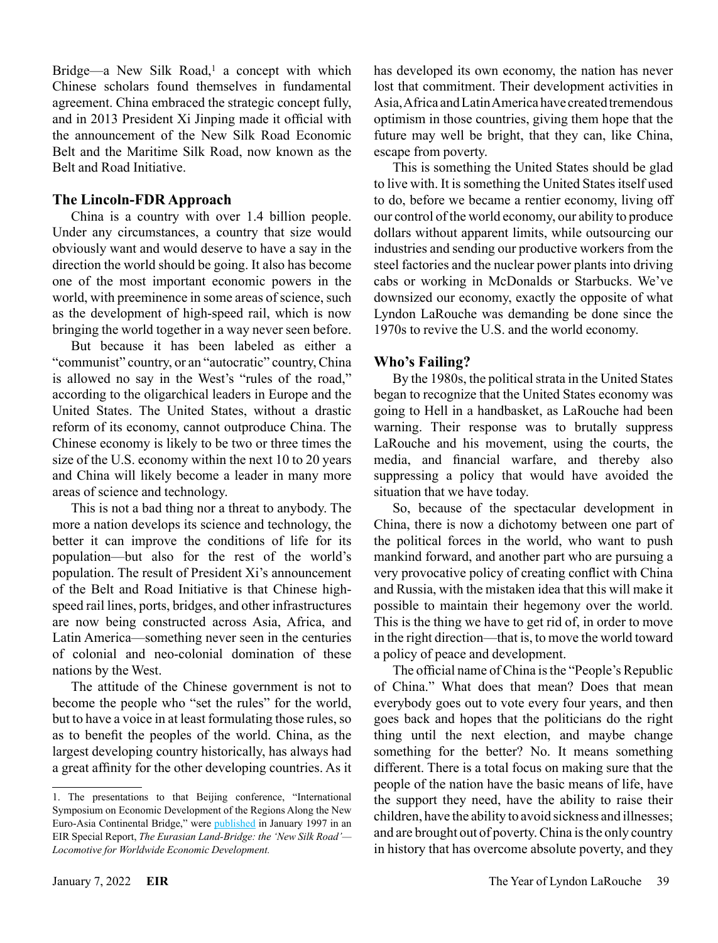Bridge—a New Silk Road,<sup>1</sup> a concept with which Chinese scholars found themselves in fundamental agreement. China embraced the strategic concept fully, and in 2013 President Xi Jinping made it official with the announcement of the New Silk Road Economic Belt and the Maritime Silk Road, now known as the Belt and Road Initiative.

# **The Lincoln-FDR Approach**

China is a country with over 1.4 billion people. Under any circumstances, a country that size would obviously want and would deserve to have a say in the direction the world should be going. It also has become one of the most important economic powers in the world, with preeminence in some areas of science, such as the development of high-speed rail, which is now bringing the world together in a way never seen before.

But because it has been labeled as either a "communist" country, or an "autocratic" country, China is allowed no say in the West's "rules of the road," according to the oligarchical leaders in Europe and the United States. The United States, without a drastic reform of its economy, cannot outproduce China. The Chinese economy is likely to be two or three times the size of the U.S. economy within the next 10 to 20 years and China will likely become a leader in many more areas of science and technology.

This is not a bad thing nor a threat to anybody. The more a nation develops its science and technology, the better it can improve the conditions of life for its population—but also for the rest of the world's population. The result of President Xi's announcement of the Belt and Road Initiative is that Chinese highspeed rail lines, ports, bridges, and other infrastructures are now being constructed across Asia, Africa, and Latin America—something never seen in the centuries of colonial and neo-colonial domination of these nations by the West.

The attitude of the Chinese government is not to become the people who "set the rules" for the world, but to have a voice in at least formulating those rules, so as to benefit the peoples of the world. China, as the largest developing country historically, has always had a great affinity for the other developing countries. As it has developed its own economy, the nation has never lost that commitment. Their development activities in Asia, Africa and Latin America have created tremendous optimism in those countries, giving them hope that the future may well be bright, that they can, like China, escape from poverty.

This is something the United States should be glad to live with. It is something the United States itself used to do, before we became a rentier economy, living off our control of the world economy, our ability to produce dollars without apparent limits, while outsourcing our industries and sending our productive workers from the steel factories and the nuclear power plants into driving cabs or working in McDonalds or Starbucks. We've downsized our economy, exactly the opposite of what Lyndon LaRouche was demanding be done since the 1970s to revive the U.S. and the world economy.

# **Who's Failing?**

By the 1980s, the political strata in the United States began to recognize that the United States economy was going to Hell in a handbasket, as LaRouche had been warning. Their response was to brutally suppress LaRouche and his movement, using the courts, the media, and financial warfare, and thereby also suppressing a policy that would have avoided the situation that we have today.

So, because of the spectacular development in China, there is now a dichotomy between one part of the political forces in the world, who want to push mankind forward, and another part who are pursuing a very provocative policy of creating conflict with China and Russia, with the mistaken idea that this will make it possible to maintain their hegemony over the world. This is the thing we have to get rid of, in order to move in the right direction—that is, to move the world toward a policy of peace and development.

The official name of China is the "People's Republic of China." What does that mean? Does that mean everybody goes out to vote every four years, and then goes back and hopes that the politicians do the right thing until the next election, and maybe change something for the better? No. It means something different. There is a total focus on making sure that the people of the nation have the basic means of life, have the support they need, have the ability to raise their children, have the ability to avoid sickness and illnesses; and are brought out of poverty. China is the only country in history that has overcome absolute poverty, and they

<sup>1.</sup> The presentations to that Beijing conference, "International Symposium on Economic Development of the Regions Along the New Euro-Asia Continental Bridge," were [published](https://store.larouchepub.com/product-p/eirsp-1997-2-0-0-std.htm) in January 1997 in an EIR Special Report, *The Eurasian Land-Bridge: the 'New Silk Road'— Locomotive for Worldwide Economic Development.*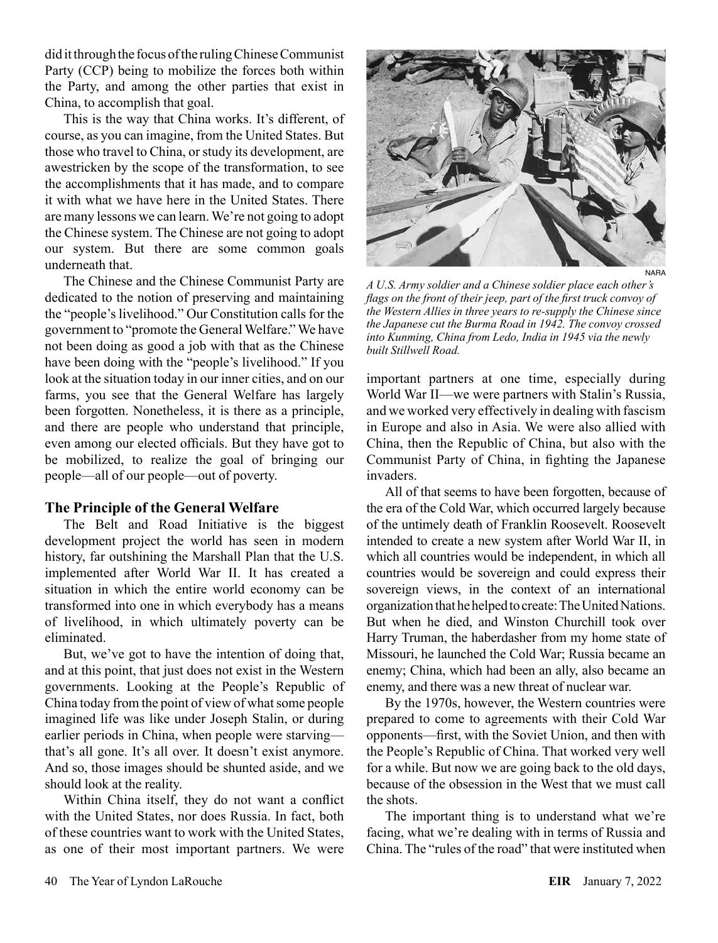did it through the focus of the ruling Chinese Communist Party (CCP) being to mobilize the forces both within the Party, and among the other parties that exist in China, to accomplish that goal.

This is the way that China works. It's different, of course, as you can imagine, from the United States. But those who travel to China, or study its development, are awestricken by the scope of the transformation, to see the accomplishments that it has made, and to compare it with what we have here in the United States. There are many lessons we can learn. We're not going to adopt the Chinese system. The Chinese are not going to adopt our system. But there are some common goals underneath that.

The Chinese and the Chinese Communist Party are dedicated to the notion of preserving and maintaining the "people's livelihood." Our Constitution calls for the government to "promote the General Welfare." We have not been doing as good a job with that as the Chinese have been doing with the "people's livelihood." If you look at the situation today in our inner cities, and on our farms, you see that the General Welfare has largely been forgotten. Nonetheless, it is there as a principle, and there are people who understand that principle, even among our elected officials. But they have got to be mobilized, to realize the goal of bringing our people—all of our people—out of poverty.

#### **The Principle of the General Welfare**

The Belt and Road Initiative is the biggest development project the world has seen in modern history, far outshining the Marshall Plan that the U.S. implemented after World War II. It has created a situation in which the entire world economy can be transformed into one in which everybody has a means of livelihood, in which ultimately poverty can be eliminated.

But, we've got to have the intention of doing that, and at this point, that just does not exist in the Western governments. Looking at the People's Republic of China today from the point of view of what some people imagined life was like under Joseph Stalin, or during earlier periods in China, when people were starving that's all gone. It's all over. It doesn't exist anymore. And so, those images should be shunted aside, and we should look at the reality.

Within China itself, they do not want a conflict with the United States, nor does Russia. In fact, both of these countries want to work with the United States, as one of their most important partners. We were



*A U.S. Army soldier and a Chinese soldier place each other's flags on the front of their jeep, part of the first truck convoy of the Western Allies in three years to re-supply the Chinese since the Japanese cut the Burma Road in 1942. The convoy crossed into Kunming, China from Ledo, India in 1945 via the newly built Stillwell Road.*

important partners at one time, especially during World War II—we were partners with Stalin's Russia, and we worked very effectively in dealing with fascism in Europe and also in Asia. We were also allied with China, then the Republic of China, but also with the Communist Party of China, in fighting the Japanese invaders.

All of that seems to have been forgotten, because of the era of the Cold War, which occurred largely because of the untimely death of Franklin Roosevelt. Roosevelt intended to create a new system after World War II, in which all countries would be independent, in which all countries would be sovereign and could express their sovereign views, in the context of an international organization that he helped to create: The United Nations. But when he died, and Winston Churchill took over Harry Truman, the haberdasher from my home state of Missouri, he launched the Cold War; Russia became an enemy; China, which had been an ally, also became an enemy, and there was a new threat of nuclear war.

By the 1970s, however, the Western countries were prepared to come to agreements with their Cold War opponents—first, with the Soviet Union, and then with the People's Republic of China. That worked very well for a while. But now we are going back to the old days, because of the obsession in the West that we must call the shots.

The important thing is to understand what we're facing, what we're dealing with in terms of Russia and China. The "rules of the road" that were instituted when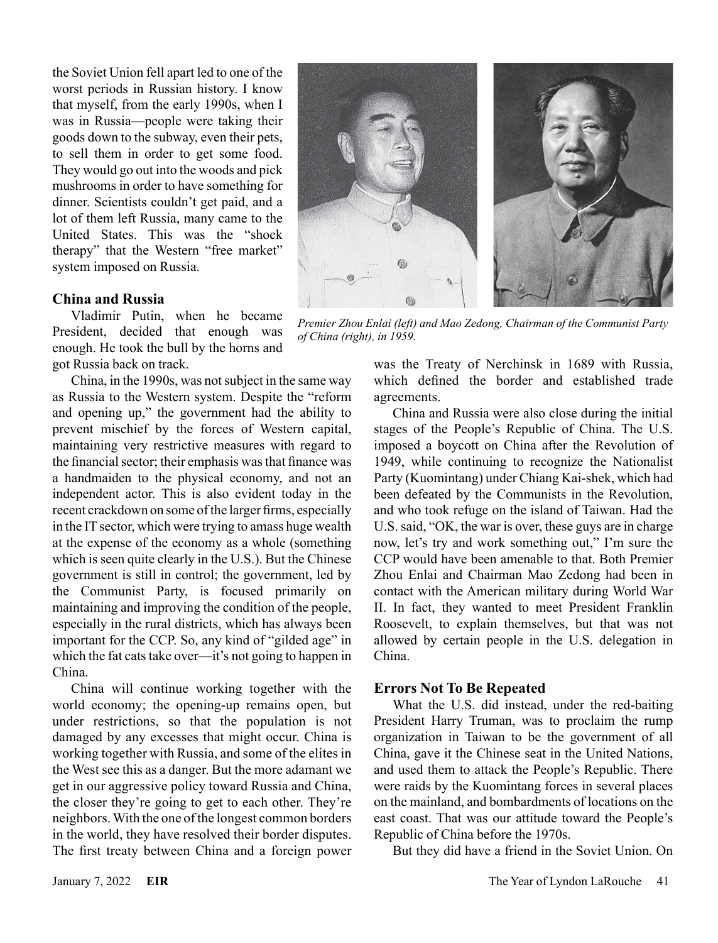the Soviet Union fell apart led to one of the worst periods in Russian history. I know that myself, from the early 1990s, when I was in Russia—people were taking their goods down to the subway, even their pets, to sell them in order to get some food. They would go out into the woods and pick mushrooms in order to have something for dinner. Scientists couldn't get paid, and a lot of them left Russia, many came to the United States. This was the "shock therapy" that the Western "free market" system imposed on Russia.

#### **China and Russia**

Vladimir Putin, when he became President, decided that enough was enough. He took the bull by the horns and got Russia back on track.

China, in the 1990s, was not subject in the same way as Russia to the Western system. Despite the "reform and opening up," the government had the ability to prevent mischief by the forces of Western capital, maintaining very restrictive measures with regard to the financial sector; their emphasis was that finance was a handmaiden to the physical economy, and not an independent actor. This is also evident today in the recent crackdown on some of the larger firms, especially in the IT sector, which were trying to amass huge wealth at the expense of the economy as a whole (something which is seen quite clearly in the U.S.). But the Chinese government is still in control; the government, led by the Communist Party, is focused primarily on maintaining and improving the condition of the people, especially in the rural districts, which has always been important for the CCP. So, any kind of "gilded age" in which the fat cats take over—it's not going to happen in China.

China will continue working together with the world economy; the opening-up remains open, but under restrictions, so that the population is not damaged by any excesses that might occur. China is working together with Russia, and some of the elites in the West see this as a danger. But the more adamant we get in our aggressive policy toward Russia and China, the closer they're going to get to each other. They're neighbors. With the one of the longest common borders in the world, they have resolved their border disputes. The first treaty between China and a foreign power



*Premier Zhou Enlai (left) and Mao Zedong, Chairman of the Communist Party of China (right), in 1959.* 

was the Treaty of Nerchinsk in 1689 with Russia, which defined the border and established trade agreements.

China and Russia were also close during the initial stages of the People's Republic of China. The U.S. imposed a boycott on China after the Revolution of 1949, while continuing to recognize the Nationalist Party (Kuomintang) under Chiang Kai-shek, which had been defeated by the Communists in the Revolution, and who took refuge on the island of Taiwan. Had the U.S. said, "OK, the war is over, these guys are in charge now, let's try and work something out," I'm sure the CCP would have been amenable to that. Both Premier Zhou Enlai and Chairman Mao Zedong had been in contact with the American military during World War II. In fact, they wanted to meet President Franklin Roosevelt, to explain themselves, but that was not allowed by certain people in the U.S. delegation in China.

### **Errors Not To Be Repeated**

What the U.S. did instead, under the red-baiting President Harry Truman, was to proclaim the rump organization in Taiwan to be the government of all China, gave it the Chinese seat in the United Nations, and used them to attack the People's Republic. There were raids by the Kuomintang forces in several places on the mainland, and bombardments of locations on the east coast. That was our attitude toward the People's Republic of China before the 1970s.

But they did have a friend in the Soviet Union. On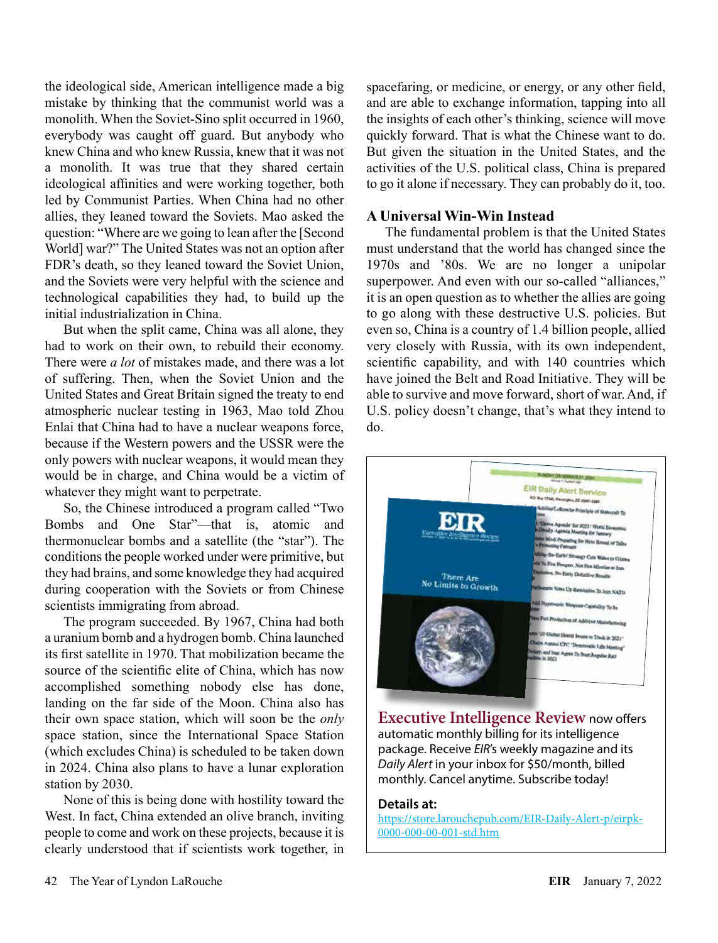the ideological side, American intelligence made a big mistake by thinking that the communist world was a monolith. When the Soviet-Sino split occurred in 1960, everybody was caught off guard. But anybody who knew China and who knew Russia, knew that it was not a monolith. It was true that they shared certain ideological affinities and were working together, both led by Communist Parties. When China had no other allies, they leaned toward the Soviets. Mao asked the question: "Where are we going to lean after the [Second World] war?" The United States was not an option after FDR's death, so they leaned toward the Soviet Union, and the Soviets were very helpful with the science and technological capabilities they had, to build up the initial industrialization in China.

But when the split came, China was all alone, they had to work on their own, to rebuild their economy. There were *a lot* of mistakes made, and there was a lot of suffering. Then, when the Soviet Union and the United States and Great Britain signed the treaty to end atmospheric nuclear testing in 1963, Mao told Zhou Enlai that China had to have a nuclear weapons force, because if the Western powers and the USSR were the only powers with nuclear weapons, it would mean they would be in charge, and China would be a victim of whatever they might want to perpetrate.

So, the Chinese introduced a program called "Two Bombs and One Star"—that is, atomic and thermonuclear bombs and a satellite (the "star"). The conditions the people worked under were primitive, but they had brains, and some knowledge they had acquired during cooperation with the Soviets or from Chinese scientists immigrating from abroad.

The program succeeded. By 1967, China had both a uranium bomb and a hydrogen bomb. China launched its first satellite in 1970. That mobilization became the source of the scientific elite of China, which has now accomplished something nobody else has done, landing on the far side of the Moon. China also has their own space station, which will soon be the *only*  space station, since the International Space Station (which excludes China) is scheduled to be taken down in 2024. China also plans to have a lunar exploration station by 2030.

None of this is being done with hostility toward the West. In fact, China extended an olive branch, inviting people to come and work on these projects, because it is clearly understood that if scientists work together, in spacefaring, or medicine, or energy, or any other field, and are able to exchange information, tapping into all the insights of each other's thinking, science will move quickly forward. That is what the Chinese want to do. But given the situation in the United States, and the activities of the U.S. political class, China is prepared to go it alone if necessary. They can probably do it, too.

# **A Universal Win-Win Instead**

The fundamental problem is that the United States must understand that the world has changed since the 1970s and '80s. We are no longer a unipolar superpower. And even with our so-called "alliances," it is an open question as to whether the allies are going to go along with these destructive U.S. policies. But even so, China is a country of 1.4 billion people, allied very closely with Russia, with its own independent, scientific capability, and with 140 countries which have joined the Belt and Road Initiative. They will be able to survive and move forward, short of war. And, if U.S. policy doesn't change, that's what they intend to do.



**[Executive Intelligence Review](https://store.larouchepub.com/EIR-Daily-Alert-p/eirpk-0000-000-00-001-std.htm)** now offers automatic monthly billing for its intelligence package. Receive *EIR*'s weekly magazine and its *Daily Alert* in your inbox for \$50/month, billed monthly. Cancel anytime. Subscribe today!

#### **Details at:**

[https://store.larouchepub.com/EIR-Daily-Alert-p/eirpk-](https://store.larouchepub.com/EIR-Daily-Alert-p/eirpk-0000-000-00-001-std.htm)[0000-000-00-001-std.htm](https://store.larouchepub.com/EIR-Daily-Alert-p/eirpk-0000-000-00-001-std.htm)